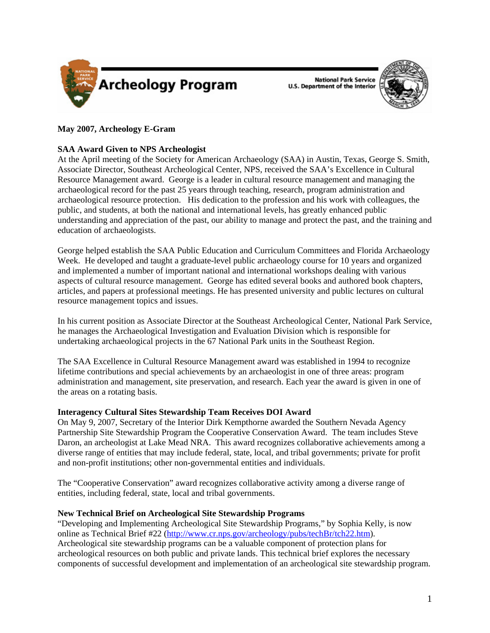

**National Park Service U.S. Department of the Interior** 



# **May 2007, Archeology E-Gram**

## **SAA Award Given to NPS Archeologist**

At the April meeting of the Society for American Archaeology (SAA) in Austin, Texas, George S. Smith, Associate Director, Southeast Archeological Center, NPS, received the SAA's Excellence in Cultural Resource Management award. George is a leader in cultural resource management and managing the archaeological record for the past 25 years through teaching, research, program administration and archaeological resource protection. His dedication to the profession and his work with colleagues, the public, and students, at both the national and international levels, has greatly enhanced public understanding and appreciation of the past, our ability to manage and protect the past, and the training and education of archaeologists.

George helped establish the SAA Public Education and Curriculum Committees and Florida Archaeology Week. He developed and taught a graduate-level public archaeology course for 10 years and organized and implemented a number of important national and international workshops dealing with various aspects of cultural resource management. George has edited several books and authored book chapters, articles, and papers at professional meetings. He has presented university and public lectures on cultural resource management topics and issues.

In his current position as Associate Director at the Southeast Archeological Center, National Park Service, he manages the Archaeological Investigation and Evaluation Division which is responsible for undertaking archaeological projects in the 67 National Park units in the Southeast Region.

The SAA Excellence in Cultural Resource Management award was established in 1994 to recognize lifetime contributions and special achievements by an archaeologist in one of three areas: program administration and management, site preservation, and research. Each year the award is given in one of the areas on a rotating basis.

## **Interagency Cultural Sites Stewardship Team Receives DOI Award**

On May 9, 2007, Secretary of the Interior Dirk Kempthorne awarded the Southern Nevada Agency Partnership Site Stewardship Program the Cooperative Conservation Award. The team includes Steve Daron, an archeologist at Lake Mead NRA. This award recognizes collaborative achievements among a diverse range of entities that may include federal, state, local, and tribal governments; private for profit and non-profit institutions; other non-governmental entities and individuals.

The "Cooperative Conservation" award recognizes collaborative activity among a diverse range of entities, including federal, state, local and tribal governments.

## **New Technical Brief on Archeological Site Stewardship Programs**

"Developing and Implementing Archeological Site Stewardship Programs," by Sophia Kelly, is now online as Technical Brief #22 ([http://www.cr.nps.gov/archeology/pubs/techBr/tch22.htm\)](http://www.cr.nps.gov/archeology/pubs/techBr/tch22.htm). Archeological site stewardship programs can be a valuable component of protection plans for archeological resources on both public and private lands. This technical brief explores the necessary components of successful development and implementation of an archeological site stewardship program.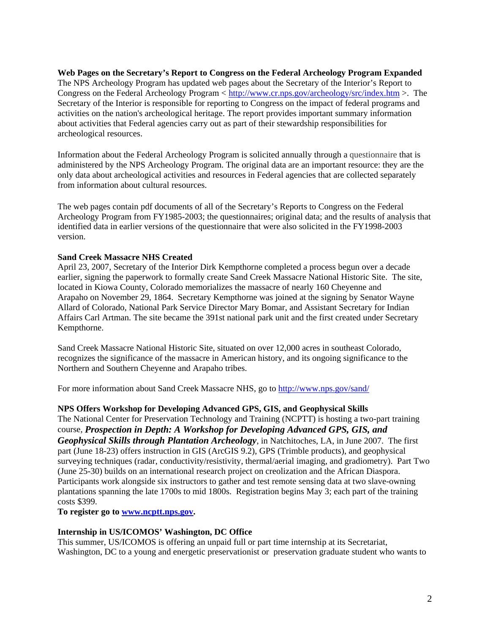**Web Pages on the Secretary's Report to Congress on the Federal Archeology Program Expanded**  The NPS Archeology Program has updated web pages about the Secretary of the Interior's Report to Congress on the Federal Archeology Program < [http://www.cr.nps.gov/archeology/src/index.htm](http://www.cr.nps.gov/archeology/SRC/INDEX.HTM) >. The Secretary of the Interior is responsible for reporting to Congress on the impact of federal programs and activities on the nation's archeological heritage. The report provides important summary information about activities that Federal agencies carry out as part of their stewardship responsibilities for archeological resources.

Information about the Federal Archeology Program is solicited annually through a questionnaire that is administered by the NPS Archeology Program. The original data are an important resource: they are the only data about archeological activities and resources in Federal agencies that are collected separately from information about cultural resources.

The web pages contain pdf documents of all of the Secretary's Reports to Congress on the Federal Archeology Program from FY1985-2003; the questionnaires; original data; and the results of analysis that identified data in earlier versions of the questionnaire that were also solicited in the FY1998-2003 version.

## **Sand Creek Massacre NHS Created**

April 23, 2007, Secretary of the Interior Dirk Kempthorne completed a process begun over a decade earlier, signing the paperwork to formally create Sand Creek Massacre National Historic Site. The site, located in Kiowa County, Colorado memorializes the massacre of nearly 160 Cheyenne and Arapaho on November 29, 1864. Secretary Kempthorne was joined at the signing by Senator Wayne Allard of Colorado, National Park Service Director Mary Bomar, and Assistant Secretary for Indian Affairs Carl Artman. The site became the 391st national park unit and the first created under Secretary Kempthorne.

Sand Creek Massacre National Historic Site, situated on over 12,000 acres in southeast Colorado, recognizes the significance of the massacre in American history, and its ongoing significance to the Northern and Southern Cheyenne and Arapaho tribes.

For more information about Sand Creek Massacre NHS, go to <http://www.nps.gov/sand/>

## **NPS Offers Workshop for Developing Advanced GPS, GIS, and Geophysical Skills**

The National Center for Preservation Technology and Training (NCPTT) is hosting a two-part training course, *Prospection in Depth: A Workshop for Developing Advanced GPS, GIS, and Geophysical Skills through Plantation Archeology*, in Natchitoches, LA, in June 2007. The first part (June 18-23) offers instruction in GIS (ArcGIS 9.2), GPS (Trimble products), and geophysical surveying techniques (radar, conductivity/resistivity, thermal/aerial imaging, and gradiometry). Part Two (June 25-30) builds on an international research project on creolization and the African Diaspora. Participants work alongside six instructors to gather and test remote sensing data at two slave-owning plantations spanning the late 1700s to mid 1800s. Registration begins May 3; each part of the training costs \$399.

**To register go to [www.ncptt.nps.gov.](www.ncptt.nps.gov)** 

#### **Internship in US/ICOMOS' Washington, DC Office**

This summer, US/ICOMOS is offering an unpaid full or part time internship at its Secretariat, Washington, DC to a young and energetic preservationist or preservation graduate student who wants to